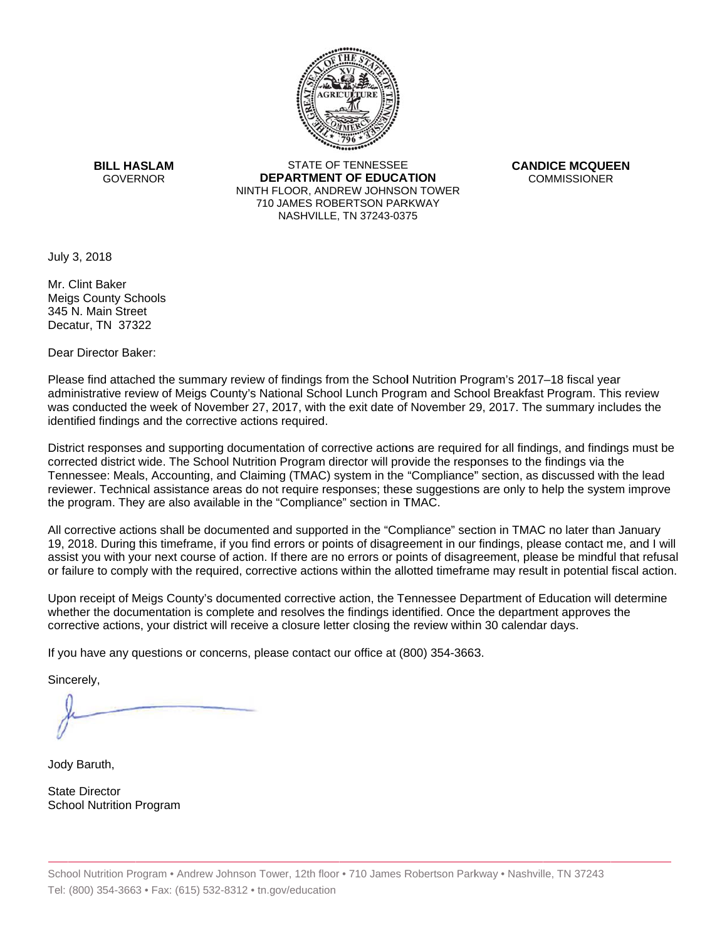

**BILL HASLAM GOVERNOR** 

**STATE OF TENNESSEE DEPARTMENT OF EDUCATION** NINTH FLOOR, ANDREW JOHNSON TOWER 710 JAMES ROBERTSON PARKWAY NASHVILLE, TN 37243-0375

**CANDICE MCQUEEN COMMISSIONER** 

July 3, 2018

Mr. Clint Baker Meias County Schools 345 N. Main Street Decatur, TN 37322

Dear Director Baker:

Please find attached the summary review of findings from the School Nutrition Program's 2017–18 fiscal year administrative review of Meigs County's National School Lunch Program and School Breakfast Program. This review was conducted the week of November 27, 2017, with the exit date of November 29, 2017. The summary includes the identified findings and the corrective actions required.

District responses and supporting documentation of corrective actions are required for all findings, and findings must be corrected district wide. The School Nutrition Program director will provide the responses to the findings via the Tennessee: Meals, Accounting, and Claiming (TMAC) system in the "Compliance" section, as discussed with the lead reviewer. Technical assistance areas do not require responses; these suggestions are only to help the system improve the program. They are also available in the "Compliance" section in TMAC.

All corrective actions shall be documented and supported in the "Compliance" section in TMAC no later than January 19, 2018. During this timeframe, if you find errors or points of disagreement in our findings, please contact me, and I will assist you with your next course of action. If there are no errors or points of disagreement, please be mindful that refusal or failure to comply with the required, corrective actions within the allotted timeframe may result in potential fiscal action.

Upon receipt of Meigs County's documented corrective action, the Tennessee Department of Education will determine whether the documentation is complete and resolves the findings identified. Once the department approves the corrective actions, your district will receive a closure letter closing the review within 30 calendar days.

If you have any questions or concerns, please contact our office at (800) 354-3663.

Sincerely,

Jody Baruth,

**State Director School Nutrition Program**